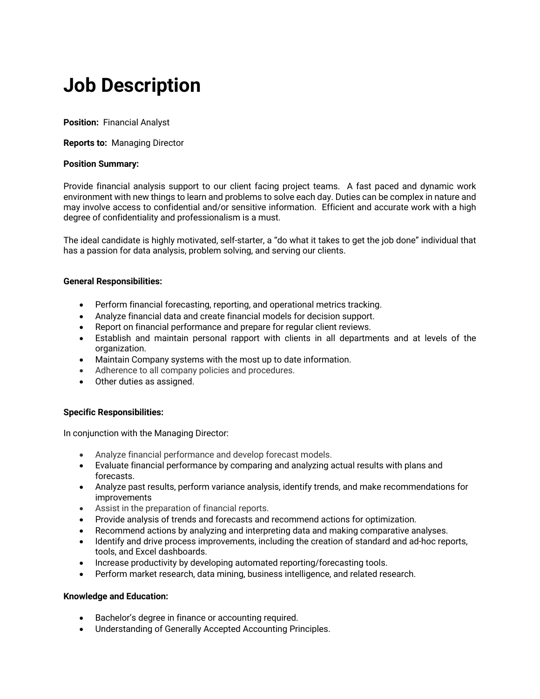# **Job Description**

**Position:** Financial Analyst

**Reports to:** Managing Director

## **Position Summary:**

Provide financial analysis support to our client facing project teams. A fast paced and dynamic work environment with new things to learn and problems to solve each day. Duties can be complex in nature and may involve access to confidential and/or sensitive information. Efficient and accurate work with a high degree of confidentiality and professionalism is a must.

The ideal candidate is highly motivated, self-starter, a "do what it takes to get the job done" individual that has a passion for data analysis, problem solving, and serving our clients.

#### **General Responsibilities:**

- Perform financial forecasting, reporting, and operational metrics tracking.
- Analyze financial data and create financial models for decision support.
- Report on financial performance and prepare for regular client reviews.
- Establish and maintain personal rapport with clients in all departments and at levels of the organization.
- Maintain Company systems with the most up to date information.
- Adherence to all company policies and procedures.
- Other duties as assigned.

# **Specific Responsibilities:**

In conjunction with the Managing Director:

- Analyze financial performance and develop forecast models.
- Evaluate financial performance by comparing and analyzing actual results with plans and forecasts.
- Analyze past results, perform variance analysis, identify trends, and make recommendations for improvements
- Assist in the preparation of financial reports.
- Provide analysis of trends and forecasts and recommend actions for optimization.
- Recommend actions by analyzing and interpreting data and making comparative analyses.
- Identify and drive process improvements, including the creation of standard and ad-hoc reports, tools, and Excel dashboards.
- Increase productivity by developing automated reporting/forecasting tools.
- Perform market research, data mining, business intelligence, and related research.

#### **Knowledge and Education:**

- Bachelor's degree in finance or accounting required.
- Understanding of Generally Accepted Accounting Principles.